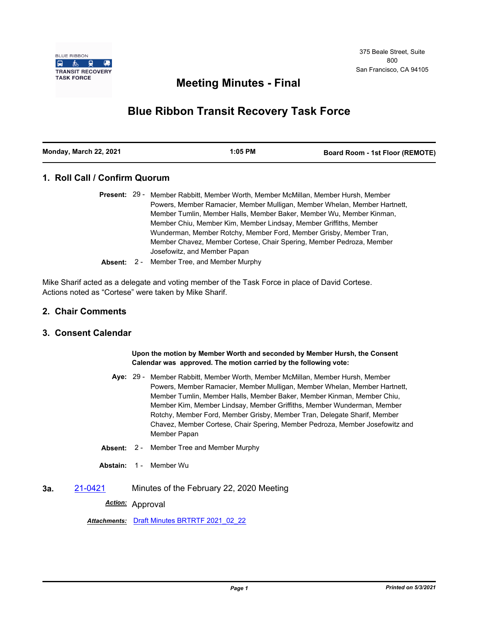

## **Meeting Minutes - Final**

# **Blue Ribbon Transit Recovery Task Force**

| Monday, March 22, 2021<br>$1:05$ PM | <b>Board Room - 1st Floor (REMOTE)</b> |
|-------------------------------------|----------------------------------------|
|-------------------------------------|----------------------------------------|

## **1. Roll Call / Confirm Quorum**

- Present: 29 Member Rabbitt, Member Worth, Member McMillan, Member Hursh, Member Powers, Member Ramacier, Member Mulligan, Member Whelan, Member Hartnett, Member Tumlin, Member Halls, Member Baker, Member Wu, Member Kinman, Member Chiu, Member Kim, Member Lindsay, Member Griffiths, Member Wunderman, Member Rotchy, Member Ford, Member Grisby, Member Tran, Member Chavez, Member Cortese, Chair Spering, Member Pedroza, Member Josefowitz, and Member Papan
- **Absent:** 2 Member Tree, and Member Murphy

Mike Sharif acted as a delegate and voting member of the Task Force in place of David Cortese. Actions noted as "Cortese" were taken by Mike Sharif.

#### **2. Chair Comments**

## **3. Consent Calendar**

#### **Upon the motion by Member Worth and seconded by Member Hursh, the Consent Calendar was approved. The motion carried by the following vote:**

- Aye: 29 Member Rabbitt, Member Worth, Member McMillan, Member Hursh, Member Powers, Member Ramacier, Member Mulligan, Member Whelan, Member Hartnett, Member Tumlin, Member Halls, Member Baker, Member Kinman, Member Chiu, Member Kim, Member Lindsay, Member Griffiths, Member Wunderman, Member Rotchy, Member Ford, Member Grisby, Member Tran, Delegate Sharif, Member Chavez, Member Cortese, Chair Spering, Member Pedroza, Member Josefowitz and Member Papan
- **Absent:** 2 Member Tree and Member Murphy
- **Abstain:** 1 Member Wu
- **3a.** [21-0421](http://mtc.legistar.com/gateway.aspx?m=l&id=/matter.aspx?key=22014) Minutes of the February 22, 2020 Meeting

*Action:* Approval

*Attachments:* [Draft Minutes BRTRTF 2021\\_02\\_22](http://mtc.legistar.com/gateway.aspx?M=F&ID=5aec1ba2-095f-4d29-b8a7-2f817ee735db.pdf)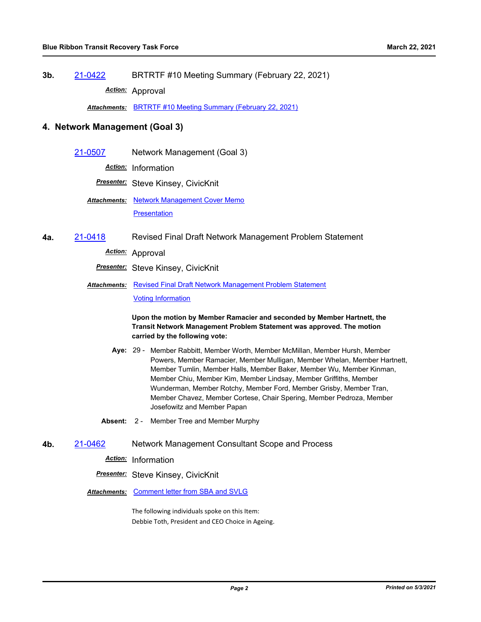**3b.** [21-0422](http://mtc.legistar.com/gateway.aspx?m=l&id=/matter.aspx?key=22015) BRTRTF #10 Meeting Summary (February 22, 2021)

*Action:* Approval

*Attachments:* [BRTRTF #10 Meeting Summary \(February 22, 2021\)](http://mtc.legistar.com/gateway.aspx?M=F&ID=1dae70f8-0e5f-4460-a114-231b28c7b971.pdf)

#### **4. Network Management (Goal 3)**

[21-0507](http://mtc.legistar.com/gateway.aspx?m=l&id=/matter.aspx?key=22100) Network Management (Goal 3)

*Action:* Information

*Presenter:* Steve Kinsey, CivicKnit

Attachments: [Network Management Cover Memo](http://mtc.legistar.com/gateway.aspx?M=F&ID=57b7579d-9dc6-4a2e-8e00-1d496780016d.pdf) **[Presentation](http://mtc.legistar.com/gateway.aspx?M=F&ID=f6212320-93e0-4e22-80d3-59ac2788891e.pdf)** 

**4a.** [21-0418](http://mtc.legistar.com/gateway.aspx?m=l&id=/matter.aspx?key=22011) Revised Final Draft Network Management Problem Statement

*Action:* Approval

*Presenter:* Steve Kinsey, CivicKnit

Attachments: [Revised Final Draft Network Management Problem Statement](http://mtc.legistar.com/gateway.aspx?M=F&ID=0fa6e06b-9858-4576-a042-3d77d93cd193.pdf) [Voting Information](http://mtc.legistar.com/gateway.aspx?M=F&ID=9dd94c06-c6c6-45d7-9984-e981641903ed.pdf)

> **Upon the motion by Member Ramacier and seconded by Member Hartnett, the Transit Network Management Problem Statement was approved. The motion carried by the following vote:**

- Aye: 29 Member Rabbitt, Member Worth, Member McMillan, Member Hursh, Member Powers, Member Ramacier, Member Mulligan, Member Whelan, Member Hartnett, Member Tumlin, Member Halls, Member Baker, Member Wu, Member Kinman, Member Chiu, Member Kim, Member Lindsay, Member Griffiths, Member Wunderman, Member Rotchy, Member Ford, Member Grisby, Member Tran, Member Chavez, Member Cortese, Chair Spering, Member Pedroza, Member Josefowitz and Member Papan
- **Absent:** 2 Member Tree and Member Murphy
- **4b.** [21-0462](http://mtc.legistar.com/gateway.aspx?m=l&id=/matter.aspx?key=22055) Network Management Consultant Scope and Process
	- *Action:* Information

*Presenter:* Steve Kinsey, CivicKnit

*Attachments:* [Comment letter from SBA and SVLG](http://mtc.legistar.com/gateway.aspx?M=F&ID=41d9cc35-5cd0-4a1a-823b-6a241b18fbd7.pdf)

The following individuals spoke on this Item: Debbie Toth, President and CEO Choice in Ageing.